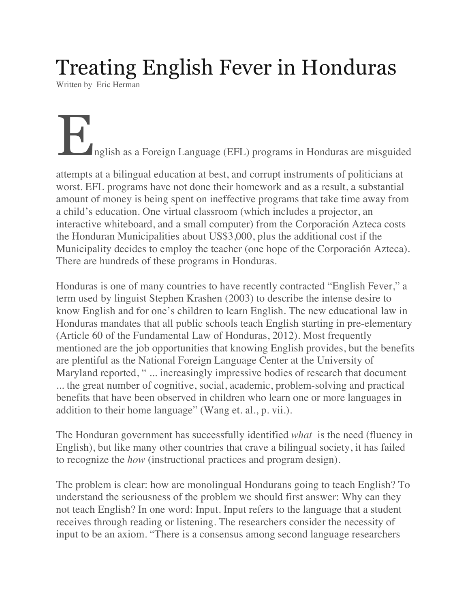## Treating English Fever in Honduras

Written by Eric Herman

## English as a Foreign Language (EFL) programs in Honduras are misguided

attempts at a bilingual education at best, and corrupt instruments of politicians at worst. EFL programs have not done their homework and as a result, a substantial amount of money is being spent on ineffective programs that take time away from a child's education. One virtual classroom (which includes a projector, an interactive whiteboard, and a small computer) from the Corporación Azteca costs the Honduran Municipalities about US\$3,000, plus the additional cost if the Municipality decides to employ the teacher (one hope of the Corporación Azteca). There are hundreds of these programs in Honduras.

Honduras is one of many countries to have recently contracted "English Fever," a term used by linguist Stephen Krashen (2003) to describe the intense desire to know English and for one's children to learn English. The new educational law in Honduras mandates that all public schools teach English starting in pre-elementary (Article 60 of the Fundamental Law of Honduras, 2012). Most frequently mentioned are the job opportunities that knowing English provides, but the benefits are plentiful as the National Foreign Language Center at the University of Maryland reported, " ... increasingly impressive bodies of research that document ... the great number of cognitive, social, academic, problem-solving and practical benefits that have been observed in children who learn one or more languages in addition to their home language" (Wang et. al., p. vii.).

The Honduran government has successfully identified *what* is the need (fluency in English), but like many other countries that crave a bilingual society, it has failed to recognize the *how* (instructional practices and program design).

The problem is clear: how are monolingual Hondurans going to teach English? To understand the seriousness of the problem we should first answer: Why can they not teach English? In one word: Input. Input refers to the language that a student receives through reading or listening. The researchers consider the necessity of input to be an axiom. "There is a consensus among second language researchers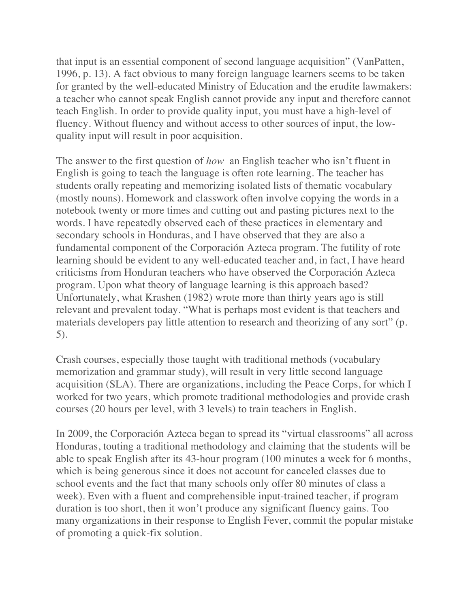that input is an essential component of second language acquisition" (VanPatten, 1996, p. 13). A fact obvious to many foreign language learners seems to be taken for granted by the well-educated Ministry of Education and the erudite lawmakers: a teacher who cannot speak English cannot provide any input and therefore cannot teach English. In order to provide quality input, you must have a high-level of fluency. Without fluency and without access to other sources of input, the lowquality input will result in poor acquisition.

The answer to the first question of *how* an English teacher who isn't fluent in English is going to teach the language is often rote learning. The teacher has students orally repeating and memorizing isolated lists of thematic vocabulary (mostly nouns). Homework and classwork often involve copying the words in a notebook twenty or more times and cutting out and pasting pictures next to the words. I have repeatedly observed each of these practices in elementary and secondary schools in Honduras, and I have observed that they are also a fundamental component of the Corporación Azteca program. The futility of rote learning should be evident to any well-educated teacher and, in fact, I have heard criticisms from Honduran teachers who have observed the Corporación Azteca program. Upon what theory of language learning is this approach based? Unfortunately, what Krashen (1982) wrote more than thirty years ago is still relevant and prevalent today. "What is perhaps most evident is that teachers and materials developers pay little attention to research and theorizing of any sort" (p. 5).

Crash courses, especially those taught with traditional methods (vocabulary memorization and grammar study), will result in very little second language acquisition (SLA). There are organizations, including the Peace Corps, for which I worked for two years, which promote traditional methodologies and provide crash courses (20 hours per level, with 3 levels) to train teachers in English.

In 2009, the Corporación Azteca began to spread its "virtual classrooms" all across Honduras, touting a traditional methodology and claiming that the students will be able to speak English after its 43-hour program (100 minutes a week for 6 months, which is being generous since it does not account for canceled classes due to school events and the fact that many schools only offer 80 minutes of class a week). Even with a fluent and comprehensible input-trained teacher, if program duration is too short, then it won't produce any significant fluency gains. Too many organizations in their response to English Fever, commit the popular mistake of promoting a quick-fix solution.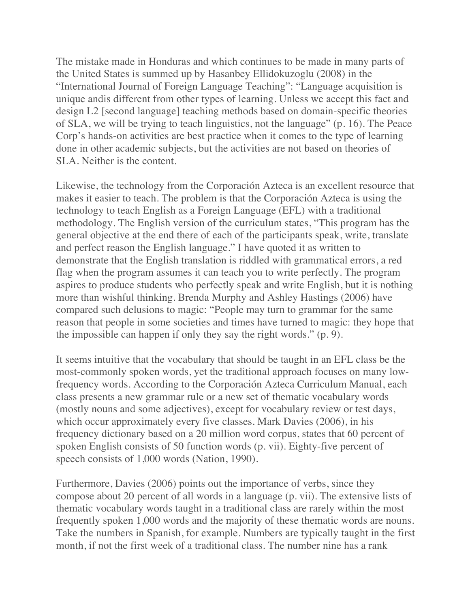The mistake made in Honduras and which continues to be made in many parts of the United States is summed up by Hasanbey Ellidokuzoglu (2008) in the "International Journal of Foreign Language Teaching": "Language acquisition is unique andis different from other types of learning. Unless we accept this fact and design L2 [second language] teaching methods based on domain-specific theories of SLA, we will be trying to teach linguistics, not the language" (p. 16). The Peace Corp's hands-on activities are best practice when it comes to the type of learning done in other academic subjects, but the activities are not based on theories of SLA. Neither is the content.

Likewise, the technology from the Corporación Azteca is an excellent resource that makes it easier to teach. The problem is that the Corporación Azteca is using the technology to teach English as a Foreign Language (EFL) with a traditional methodology. The English version of the curriculum states, "This program has the general objective at the end there of each of the participants speak, write, translate and perfect reason the English language." I have quoted it as written to demonstrate that the English translation is riddled with grammatical errors, a red flag when the program assumes it can teach you to write perfectly. The program aspires to produce students who perfectly speak and write English, but it is nothing more than wishful thinking. Brenda Murphy and Ashley Hastings (2006) have compared such delusions to magic: "People may turn to grammar for the same reason that people in some societies and times have turned to magic: they hope that the impossible can happen if only they say the right words." (p. 9).

It seems intuitive that the vocabulary that should be taught in an EFL class be the most-commonly spoken words, yet the traditional approach focuses on many lowfrequency words. According to the Corporación Azteca Curriculum Manual, each class presents a new grammar rule or a new set of thematic vocabulary words (mostly nouns and some adjectives), except for vocabulary review or test days, which occur approximately every five classes. Mark Davies (2006), in his frequency dictionary based on a 20 million word corpus, states that 60 percent of spoken English consists of 50 function words (p. vii). Eighty-five percent of speech consists of 1,000 words (Nation, 1990).

Furthermore, Davies (2006) points out the importance of verbs, since they compose about 20 percent of all words in a language (p. vii). The extensive lists of thematic vocabulary words taught in a traditional class are rarely within the most frequently spoken 1,000 words and the majority of these thematic words are nouns. Take the numbers in Spanish, for example. Numbers are typically taught in the first month, if not the first week of a traditional class. The number nine has a rank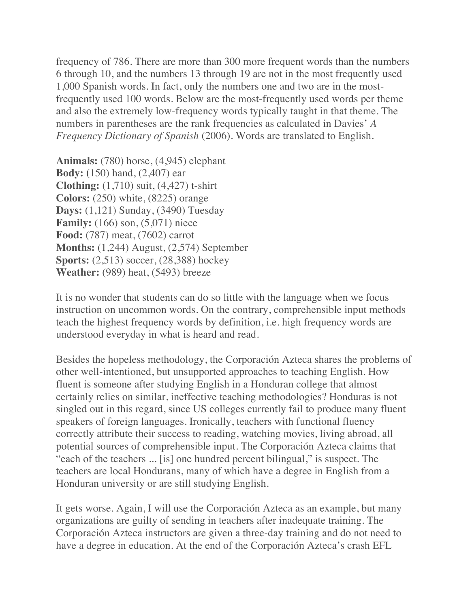frequency of 786. There are more than 300 more frequent words than the numbers 6 through 10, and the numbers 13 through 19 are not in the most frequently used 1,000 Spanish words. In fact, only the numbers one and two are in the mostfrequently used 100 words. Below are the most-frequently used words per theme and also the extremely low-frequency words typically taught in that theme. The numbers in parentheses are the rank frequencies as calculated in Davies' *A Frequency Dictionary of Spanish* (2006)*.* Words are translated to English.

**Animals:** (780) horse, (4,945) elephant **Body: (**150) hand, (2,407) ear **Clothing:** (1,710) suit, (4,427) t-shirt **Colors:** (250) white, (8225) orange **Days:** (1,121) Sunday, (3490) Tuesday **Family:** (166) son, (5,071) niece **Food:** (787) meat, (7602) carrot **Months:** (1,244) August, (2,574) September **Sports:** (2,513) soccer, (28,388) hockey **Weather:** (989) heat, (5493) breeze

It is no wonder that students can do so little with the language when we focus instruction on uncommon words. On the contrary, comprehensible input methods teach the highest frequency words by definition, i.e. high frequency words are understood everyday in what is heard and read.

Besides the hopeless methodology, the Corporación Azteca shares the problems of other well-intentioned, but unsupported approaches to teaching English. How fluent is someone after studying English in a Honduran college that almost certainly relies on similar, ineffective teaching methodologies? Honduras is not singled out in this regard, since US colleges currently fail to produce many fluent speakers of foreign languages. Ironically, teachers with functional fluency correctly attribute their success to reading, watching movies, living abroad, all potential sources of comprehensible input. The Corporación Azteca claims that "each of the teachers ... [is] one hundred percent bilingual," is suspect. The teachers are local Hondurans, many of which have a degree in English from a Honduran university or are still studying English.

It gets worse. Again, I will use the Corporación Azteca as an example, but many organizations are guilty of sending in teachers after inadequate training. The Corporación Azteca instructors are given a three-day training and do not need to have a degree in education. At the end of the Corporación Azteca's crash EFL